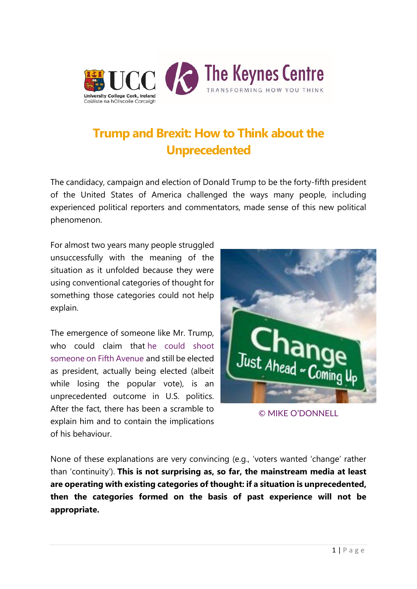

# **Trump and [Brexit: How to Think about the](http://keynes.ucc.ie/blog/trump-brexit-think-unprecedented/)  [Unprecedented](http://keynes.ucc.ie/blog/trump-brexit-think-unprecedented/)**

The candidacy, campaign and election of Donald Trump to be the forty-fifth president of the United States of America challenged the ways many people, including experienced political reporters and commentators, made sense of this new political phenomenon.

For almost two years many people struggled unsuccessfully with the meaning of the situation as it unfolded because they were using conventional categories of thought for something those categories could not help explain.

The emergence of someone like Mr. Trump, who could claim that he could shoot [someone on Fifth Avenue](http://www.nytimes.com/2016/09/21/world/americas/donald-trump-the-unsinkable-candidate.html?_r=1) and still be elected as president, actually being elected (albeit while losing the popular vote), is an unprecedented outcome in U.S. politics. After the fact, there has been a scramble to explain him and to contain the implications of his behaviour.



[© MIKE O'DONNELL](https://www.instagram.com/mikodonnell/)

None of these explanations are very convincing (e.g., 'voters wanted 'change' rather than 'continuity'). **This is not surprising as, so far, the mainstream media at least are operating with existing categories of thought: if a situation is unprecedented, then the categories formed on the basis of past experience will not be appropriate.**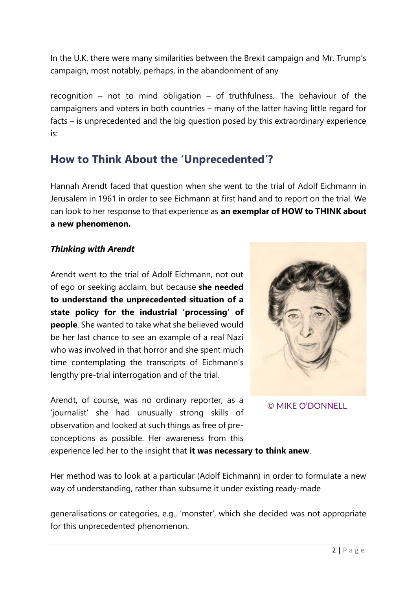In the U.K. there were many similarities between the Brexit campaign and Mr. Trump's campaign, most notably, perhaps, in the abandonment of any

recognition – not to mind obligation – of truthfulness. The behaviour of the campaigners and voters in both countries – many of the latter having little regard for facts – is unprecedented and the big question posed by this extraordinary experience is:

### **How to Think About the 'Unprecedented'?**

Hannah Arendt faced that question when she went to the trial of Adolf Eichmann in Jerusalem in 1961 in order to see Eichmann at first hand and to report on the trial. We can look to her response to that experience as **an exemplar of HOW to THINK about a new phenomenon.**

#### *Thinking with Arendt*

Arendt went to the trial of Adolf Eichmann, not out of ego or seeking acclaim, but because **she needed to understand the unprecedented situation of a state policy for the industrial 'processing' of people**. She wanted to take what she believed would be her last chance to see an example of a real Nazi who was involved in that horror and she spent much time contemplating the transcripts of Eichmann's lengthy pre-trial interrogation and of the trial.

Arendt, of course, was no ordinary reporter; as a 'journalist' she had unusually strong skills of observation and looked at such things as free of preconceptions as possible. Her awareness from this



[© MIKE O'DONNELL](https://www.instagram.com/mikodonnell/)

experience led her to the insight that **it was necessary to think anew**.

Her method was to look at a particular (Adolf Eichmann) in order to formulate a new way of understanding, rather than subsume it under existing ready-made

generalisations or categories, e.g., 'monster', which she decided was not appropriate for this unprecedented phenomenon.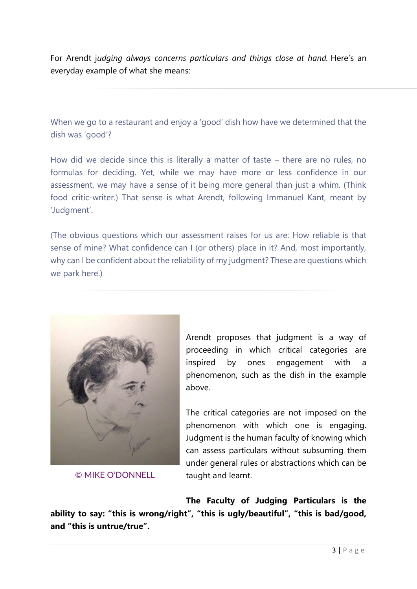For Arendt j*udging always concerns particulars and things close at hand.* Here's an everyday example of what she means:

When we go to a restaurant and enjoy a 'good' dish how have we determined that the dish was 'good'?

How did we decide since this is literally a matter of taste – there are no rules, no formulas for deciding. Yet, while we may have more or less confidence in our assessment, we may have a sense of it being more general than just a whim. (Think food critic-writer.) That sense is what Arendt, following Immanuel Kant, meant by 'Judgment'.

(The obvious questions which our assessment raises for us are: How reliable is that sense of mine? What confidence can I (or others) place in it? And, most importantly, why can I be confident about the reliability of my judgment? These are questions which we park here.)



[© MIKE O'DONNELL](https://www.instagram.com/mikodonnell/)

Arendt proposes that judgment is a way of proceeding in which critical categories are inspired by ones engagement with a phenomenon, such as the dish in the example above.

The critical categories are not imposed on the phenomenon with which one is engaging. Judgment is the human faculty of knowing which can assess particulars without subsuming them under general rules or abstractions which can be taught and learnt.

**The Faculty of Judging Particulars is the ability to say: "this is wrong/right", "this is ugly/beautiful", "this is bad/good, and "this is untrue/true".**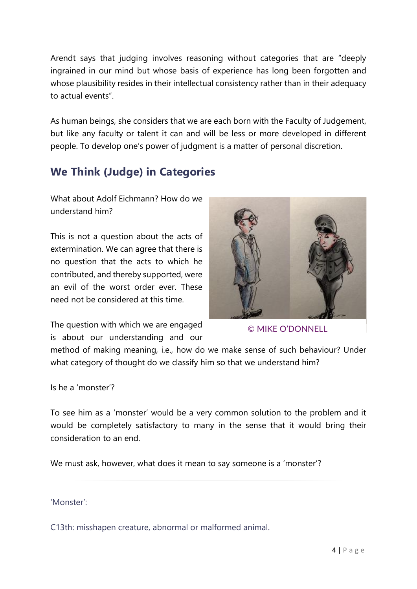Arendt says that judging involves reasoning without categories that are "deeply ingrained in our mind but whose basis of experience has long been forgotten and whose plausibility resides in their intellectual consistency rather than in their adequacy to actual events".

As human beings, she considers that we are each born with the Faculty of Judgement, but like any faculty or talent it can and will be less or more developed in different people. To develop one's power of judgment is a matter of personal discretion.

## **We Think (Judge) in Categories**

What about Adolf Eichmann? How do we understand him?

This is not a question about the acts of extermination. We can agree that there is no question that the acts to which he contributed, and thereby supported, were an evil of the worst order ever. These need not be considered at this time.

The question with which we are engaged is about our understanding and our



[© MIKE O'DONNELL](https://www.instagram.com/mikodonnell/)

method of making meaning, i.e., how do we make sense of such behaviour? Under what category of thought do we classify him so that we understand him?

Is he a 'monster'?

To see him as a 'monster' would be a very common solution to the problem and it would be completely satisfactory to many in the sense that it would bring their consideration to an end.

We must ask, however, what does it mean to say someone is a 'monster'?

'Monster':

C13th: misshapen creature, abnormal or malformed animal.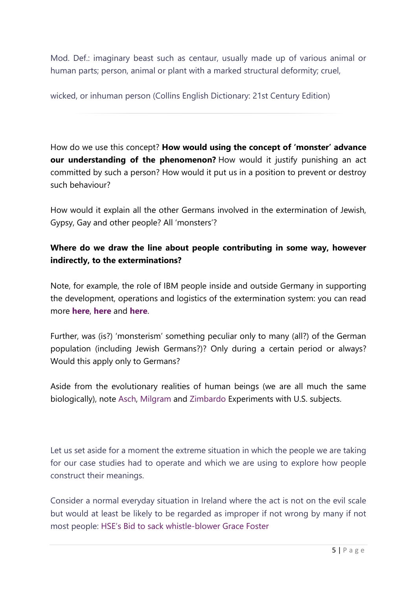Mod. Def.: imaginary beast such as centaur, usually made up of various animal or human parts; person, animal or plant with a marked structural deformity; cruel,

wicked, or inhuman person (Collins English Dictionary: 21st Century Edition)

How do we use this concept? **How would using the concept of 'monster' advance our understanding of the phenomenon?** How would it justify punishing an act committed by such a person? How would it put us in a position to prevent or destroy such behaviour?

How would it explain all the other Germans involved in the extermination of Jewish, Gypsy, Gay and other people? All 'monsters'?

### **Where do we draw the line about people contributing in some way, however indirectly, to the exterminations?**

Note, for example, the role of IBM people inside and outside Germany in supporting the development, operations and logistics of the extermination system: you can read more **[here](http://www.ibmandtheholocaust.com/)**, **[here](http://www.huffingtonpost.com/edwin-black/ibm-holocaust_b_1301691.html)** and **[here](https://en.wikipedia.org/wiki/IBM_during_World_War_II)**.

Further, was (is?) 'monsterism' something peculiar only to many (all?) of the German population (including Jewish Germans?)? Only during a certain period or always? Would this apply only to Germans?

Aside from the evolutionary realities of human beings (we are all much the same biologically), note [Asch,](https://en.wikipedia.org/wiki/Asch_conformity_experiments) [Milgram](https://en.wikipedia.org/wiki/Milgram_experiment) and [Zimbardo](http://www.prisonexp.org/) Experiments with U.S. subjects.

Let us set aside for a moment the extreme situation in which the people we are taking for our case studies had to operate and which we are using to explore how people construct their meanings.

Consider a normal everyday situation in Ireland where the act is not on the evil scale but would at least be likely to be regarded as improper if not wrong by many if not most people: [HSE's Bid to sack whistle](http://www.irishexaminer.com/breakingnews/ireland/hse-bid-to-sack-grace-whistle-blower-762324.html)-blower Grace Foster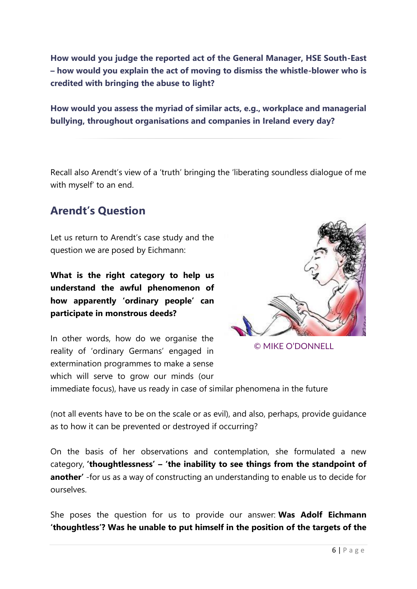**How would you judge the reported act of the General Manager, HSE South-East – how would you explain the act of moving to dismiss the whistle-blower who is credited with bringing the abuse to light?**

**How would you assess the myriad of similar acts, e.g., workplace and managerial bullying, throughout organisations and companies in Ireland every day?**

Recall also Arendt's view of a 'truth' bringing the 'liberating soundless dialogue of me with myself' to an end.

### **Arendt's Question**

Let us return to Arendt's case study and the question we are posed by Eichmann:

**What is the right category to help us understand the awful phenomenon of how apparently 'ordinary people' can participate in monstrous deeds?**

In other words, how do we organise the reality of 'ordinary Germans' engaged in extermination programmes to make a sense which will serve to grow our minds (our



[© MIKE O'DONNELL](https://www.instagram.com/mikodonnell/)

immediate focus), have us ready in case of similar phenomena in the future

(not all events have to be on the scale or as evil), and also, perhaps, provide guidance as to how it can be prevented or destroyed if occurring?

On the basis of her observations and contemplation, she formulated a new category, **'thoughtlessness' – 'the inability to see things from the standpoint of another'** -for us as a way of constructing an understanding to enable us to decide for ourselves.

She poses the question for us to provide our answer: **Was Adolf Eichmann 'thoughtless'? Was he unable to put himself in the position of the targets of the**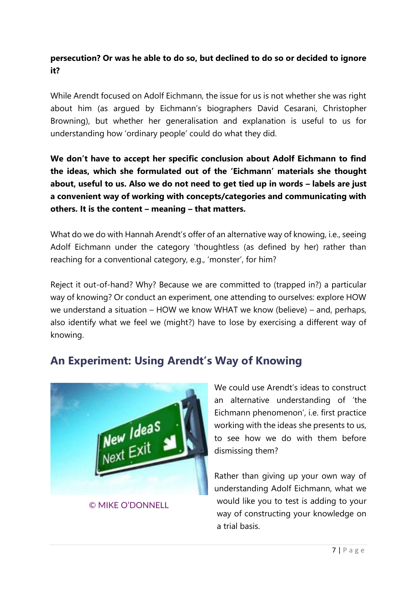#### **persecution? Or was he able to do so, but declined to do so or decided to ignore it?**

While Arendt focused on Adolf Eichmann, the issue for us is not whether she was right about him (as argued by Eichmann's biographers David Cesarani, Christopher Browning), but whether her generalisation and explanation is useful to us for understanding how 'ordinary people' could do what they did.

**We don't have to accept her specific conclusion about Adolf Eichmann to find the ideas, which she formulated out of the 'Eichmann' materials she thought about, useful to us. Also we do not need to get tied up in words – labels are just a convenient way of working with concepts/categories and communicating with others. It is the content – meaning – that matters.**

What do we do with Hannah Arendt's offer of an alternative way of knowing, i.e., seeing Adolf Eichmann under the category 'thoughtless (as defined by her) rather than reaching for a conventional category, e.g., 'monster', for him?

Reject it out-of-hand? Why? Because we are committed to (trapped in?) a particular way of knowing? Or conduct an experiment, one attending to ourselves: explore HOW we understand a situation – HOW we know WHAT we know (believe) – and, perhaps, also identify what we feel we (might?) have to lose by exercising a different way of knowing.

### **An Experiment: Using Arendt's Way of Knowing**



[© MIKE O'DONNELL](https://www.instagram.com/mikodonnell/)

We could use Arendt's ideas to construct an alternative understanding of 'the Eichmann phenomenon', i.e. first practice working with the ideas she presents to us, to see how we do with them before dismissing them?

Rather than giving up your own way of understanding Adolf Eichmann, what we would like you to test is adding to your way of constructing your knowledge on a trial basis.